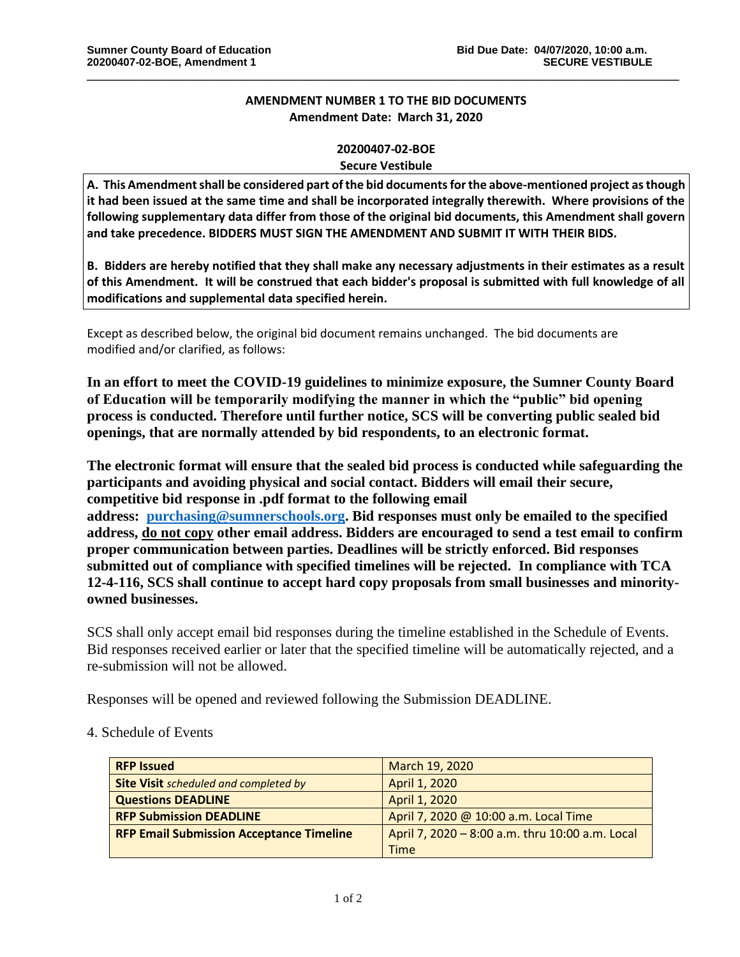## **AMENDMENT NUMBER 1 TO THE BID DOCUMENTS Amendment Date: March 31, 2020**

\_\_\_\_\_\_\_\_\_\_\_\_\_\_\_\_\_\_\_\_\_\_\_\_\_\_\_\_\_\_\_\_\_\_\_\_\_\_\_\_\_\_\_\_\_\_\_\_\_\_\_\_\_\_\_\_\_\_\_\_\_\_\_\_\_\_\_\_\_\_\_\_\_\_\_\_\_\_\_\_\_\_\_\_\_\_\_\_\_\_\_\_\_\_\_\_\_\_

## **20200407-02-BOE**

## **Secure Vestibule**

**A. This Amendment shall be considered part of the bid documents for the above-mentioned project as though it had been issued at the same time and shall be incorporated integrally therewith. Where provisions of the following supplementary data differ from those of the original bid documents, this Amendment shall govern and take precedence. BIDDERS MUST SIGN THE AMENDMENT AND SUBMIT IT WITH THEIR BIDS.**

**B. Bidders are hereby notified that they shall make any necessary adjustments in their estimates as a result of this Amendment. It will be construed that each bidder's proposal is submitted with full knowledge of all modifications and supplemental data specified herein.**

Except as described below, the original bid document remains unchanged. The bid documents are modified and/or clarified, as follows:

**In an effort to meet the COVID-19 guidelines to minimize exposure, the Sumner County Board of Education will be temporarily modifying the manner in which the "public" bid opening process is conducted. Therefore until further notice, SCS will be converting public sealed bid openings, that are normally attended by bid respondents, to an electronic format.**

**The electronic format will ensure that the sealed bid process is conducted while safeguarding the participants and avoiding physical and social contact. Bidders will email their secure, competitive bid response in .pdf format to the following email address: [purchasing@sumnerschools.org.](mailto:purchasing@sumnerschools.org) Bid responses must only be emailed to the specified address, do not copy other email address. Bidders are encouraged to send a test email to confirm proper communication between parties. Deadlines will be strictly enforced. Bid responses submitted out of compliance with specified timelines will be rejected. In compliance with TCA 12-4-116, SCS shall continue to accept hard copy proposals from small businesses and minorityowned businesses.**

SCS shall only accept email bid responses during the timeline established in the Schedule of Events. Bid responses received earlier or later that the specified timeline will be automatically rejected, and a re-submission will not be allowed.

Responses will be opened and reviewed following the Submission DEADLINE.

4. Schedule of Events

| <b>RFP Issued</b>                               | March 19, 2020                                  |
|-------------------------------------------------|-------------------------------------------------|
| <b>Site Visit</b> scheduled and completed by    | April 1, 2020                                   |
| <b>Questions DEADLINE</b>                       | April 1, 2020                                   |
| <b>RFP Submission DEADLINE</b>                  | April 7, 2020 @ 10:00 a.m. Local Time           |
| <b>RFP Email Submission Acceptance Timeline</b> | April 7, 2020 - 8:00 a.m. thru 10:00 a.m. Local |
|                                                 | <b>Time</b>                                     |